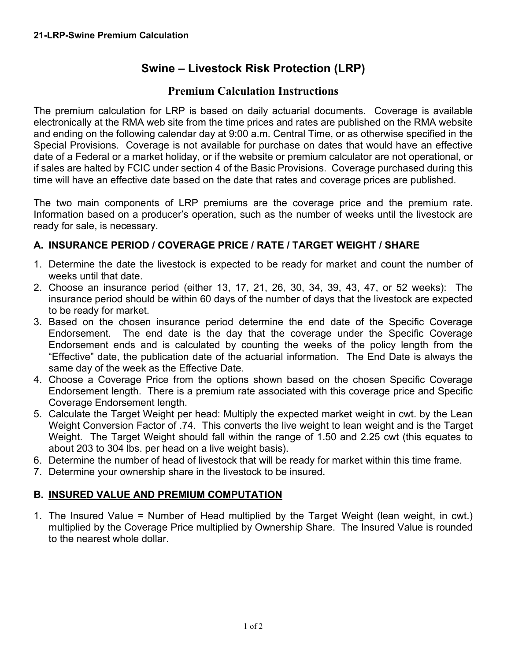## **Swine – Livestock Risk Protection (LRP)**

## **Premium Calculation Instructions**

The premium calculation for LRP is based on daily actuarial documents. Coverage is available electronically at the RMA web site from the time prices and rates are published on the RMA website and ending on the following calendar day at 9:00 a.m. Central Time, or as otherwise specified in the Special Provisions. Coverage is not available for purchase on dates that would have an effective date of a Federal or a market holiday, or if the website or premium calculator are not operational, or if sales are halted by FCIC under section 4 of the Basic Provisions. Coverage purchased during this time will have an effective date based on the date that rates and coverage prices are published.

The two main components of LRP premiums are the coverage price and the premium rate. Information based on a producer's operation, such as the number of weeks until the livestock are ready for sale, is necessary.

## **A. INSURANCE PERIOD / COVERAGE PRICE / RATE / TARGET WEIGHT / SHARE**

- 1. Determine the date the livestock is expected to be ready for market and count the number of weeks until that date.
- 2. Choose an insurance period (either 13, 17, 21, 26, 30, 34, 39, 43, 47, or 52 weeks): The insurance period should be within 60 days of the number of days that the livestock are expected to be ready for market.
- 3. Based on the chosen insurance period determine the end date of the Specific Coverage Endorsement. The end date is the day that the coverage under the Specific Coverage Endorsement ends and is calculated by counting the weeks of the policy length from the "Effective" date, the publication date of the actuarial information. The End Date is always the same day of the week as the Effective Date.
- 4. Choose a Coverage Price from the options shown based on the chosen Specific Coverage Endorsement length. There is a premium rate associated with this coverage price and Specific Coverage Endorsement length.
- 5. Calculate the Target Weight per head: Multiply the expected market weight in cwt. by the Lean Weight Conversion Factor of .74. This converts the live weight to lean weight and is the Target Weight. The Target Weight should fall within the range of 1.50 and 2.25 cwt (this equates to about 203 to 304 lbs. per head on a live weight basis).
- 6. Determine the number of head of livestock that will be ready for market within this time frame.
- 7. Determine your ownership share in the livestock to be insured.

## **B. INSURED VALUE AND PREMIUM COMPUTATION**

1. The Insured Value = Number of Head multiplied by the Target Weight (lean weight, in cwt.) multiplied by the Coverage Price multiplied by Ownership Share. The Insured Value is rounded to the nearest whole dollar.